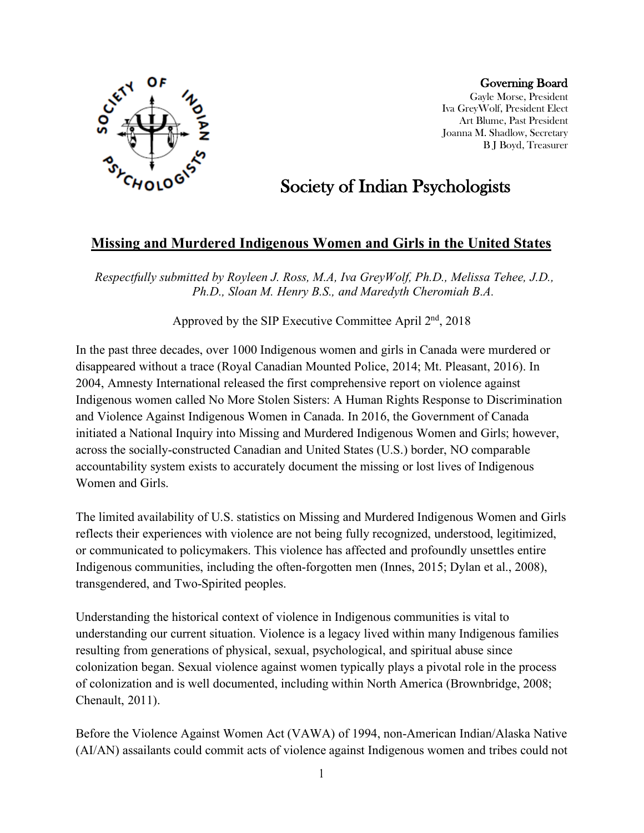

Governing Board Gayle Morse, President Iva GreyWolf, President Elect Art Blume, Past President Joanna M. Shadlow, Secretary B J Boyd, Treasurer

## Society of Indian Psychologists

## **Missing and Murdered Indigenous Women and Girls in the United States**

*Respectfully submitted by Royleen J. Ross, M.A, Iva GreyWolf, Ph.D., Melissa Tehee, J.D., Ph.D., Sloan M. Henry B.S., and Maredyth Cheromiah B.A.*

Approved by the SIP Executive Committee April  $2<sup>nd</sup>$ , 2018

In the past three decades, over 1000 Indigenous women and girls in Canada were murdered or disappeared without a trace (Royal Canadian Mounted Police, 2014; Mt. Pleasant, 2016). In 2004, Amnesty International released the first comprehensive report on violence against Indigenous women called No More Stolen Sisters: A Human Rights Response to Discrimination and Violence Against Indigenous Women in Canada. In 2016, the Government of Canada initiated a National Inquiry into Missing and Murdered Indigenous Women and Girls; however, across the socially-constructed Canadian and United States (U.S.) border, NO comparable accountability system exists to accurately document the missing or lost lives of Indigenous Women and Girls.

The limited availability of U.S. statistics on Missing and Murdered Indigenous Women and Girls reflects their experiences with violence are not being fully recognized, understood, legitimized, or communicated to policymakers. This violence has affected and profoundly unsettles entire Indigenous communities, including the often-forgotten men (Innes, 2015; Dylan et al., 2008), transgendered, and Two-Spirited peoples.

Understanding the historical context of violence in Indigenous communities is vital to understanding our current situation. Violence is a legacy lived within many Indigenous families resulting from generations of physical, sexual, psychological, and spiritual abuse since colonization began. Sexual violence against women typically plays a pivotal role in the process of colonization and is well documented, including within North America (Brownbridge, 2008; Chenault, 2011).

Before the Violence Against Women Act (VAWA) of 1994, non-American Indian/Alaska Native (AI/AN) assailants could commit acts of violence against Indigenous women and tribes could not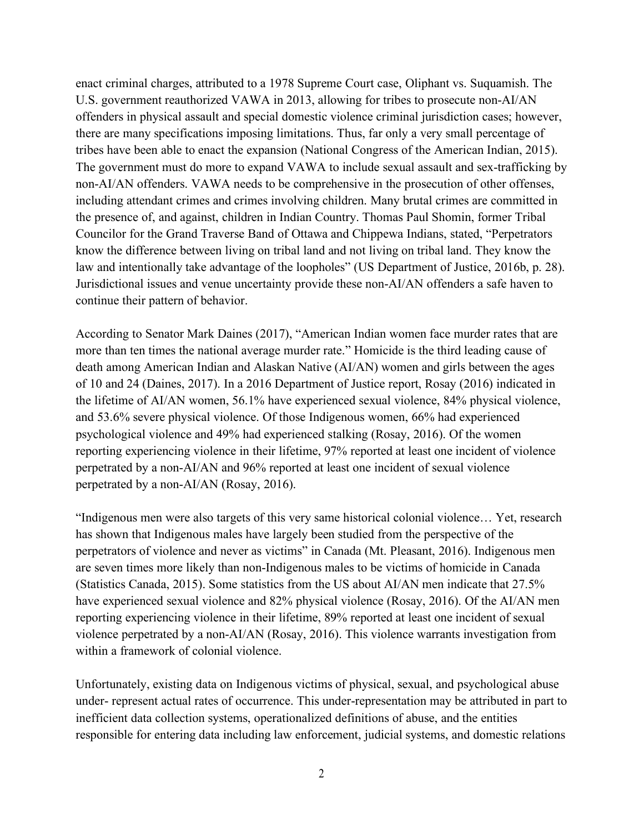enact criminal charges, attributed to a 1978 Supreme Court case, Oliphant vs. Suquamish. The U.S. government reauthorized VAWA in 2013, allowing for tribes to prosecute non-AI/AN offenders in physical assault and special domestic violence criminal jurisdiction cases; however, there are many specifications imposing limitations. Thus, far only a very small percentage of tribes have been able to enact the expansion (National Congress of the American Indian, 2015). The government must do more to expand VAWA to include sexual assault and sex-trafficking by non-AI/AN offenders. VAWA needs to be comprehensive in the prosecution of other offenses, including attendant crimes and crimes involving children. Many brutal crimes are committed in the presence of, and against, children in Indian Country. Thomas Paul Shomin, former Tribal Councilor for the Grand Traverse Band of Ottawa and Chippewa Indians, stated, "Perpetrators know the difference between living on tribal land and not living on tribal land. They know the law and intentionally take advantage of the loopholes" (US Department of Justice, 2016b, p. 28). Jurisdictional issues and venue uncertainty provide these non-AI/AN offenders a safe haven to continue their pattern of behavior.

According to Senator Mark Daines (2017), "American Indian women face murder rates that are more than ten times the national average murder rate." Homicide is the third leading cause of death among American Indian and Alaskan Native (AI/AN) women and girls between the ages of 10 and 24 (Daines, 2017). In a 2016 Department of Justice report, Rosay (2016) indicated in the lifetime of AI/AN women, 56.1% have experienced sexual violence, 84% physical violence, and 53.6% severe physical violence. Of those Indigenous women, 66% had experienced psychological violence and 49% had experienced stalking (Rosay, 2016). Of the women reporting experiencing violence in their lifetime, 97% reported at least one incident of violence perpetrated by a non-AI/AN and 96% reported at least one incident of sexual violence perpetrated by a non-AI/AN (Rosay, 2016).

"Indigenous men were also targets of this very same historical colonial violence… Yet, research has shown that Indigenous males have largely been studied from the perspective of the perpetrators of violence and never as victims" in Canada (Mt. Pleasant, 2016). Indigenous men are seven times more likely than non-Indigenous males to be victims of homicide in Canada (Statistics Canada, 2015). Some statistics from the US about AI/AN men indicate that 27.5% have experienced sexual violence and 82% physical violence (Rosay, 2016). Of the AI/AN men reporting experiencing violence in their lifetime, 89% reported at least one incident of sexual violence perpetrated by a non-AI/AN (Rosay, 2016). This violence warrants investigation from within a framework of colonial violence.

Unfortunately, existing data on Indigenous victims of physical, sexual, and psychological abuse under- represent actual rates of occurrence. This under-representation may be attributed in part to inefficient data collection systems, operationalized definitions of abuse, and the entities responsible for entering data including law enforcement, judicial systems, and domestic relations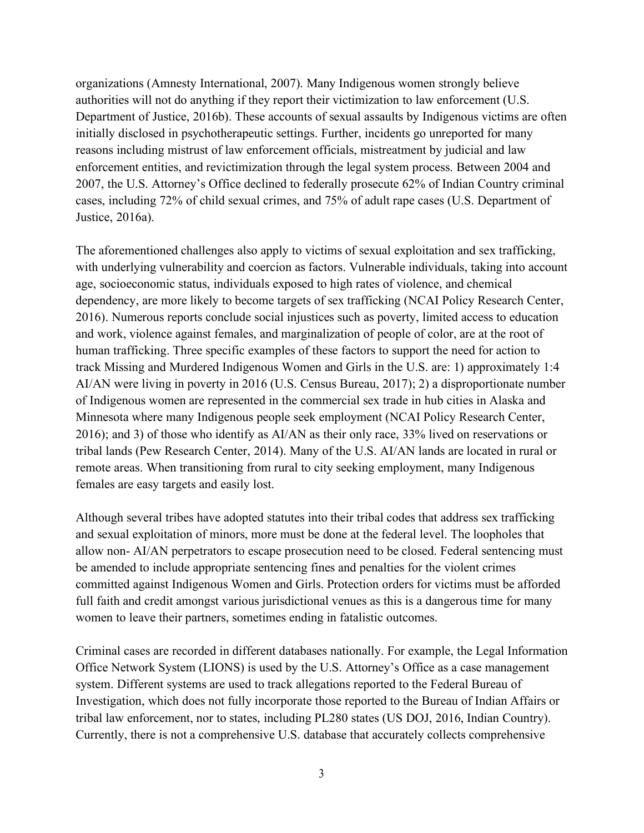organizations (Amnesty International, 2007). Many Indigenous women strongly believe authorities will not do anything if they report their victimization to law enforcement (U.S. Department of Justice, 2016b). These accounts of sexual assaults by Indigenous victims are often initially disclosed in psychotherapeutic settings. Further, incidents go unreported for many reasons including mistrust of law enforcement officials, mistreatment by judicial and law enforcement entities, and revictimization through the legal system process. Between 2004 and 2007, the U.S. Attorney's Office declined to federally prosecute 62% of Indian Country criminal cases, including 72% of child sexual crimes, and 75% of adult rape cases (U.S. Department of Justice, 2016a).

The aforementioned challenges also apply to victims of sexual exploitation and sex trafficking, with underlying vulnerability and coercion as factors. Vulnerable individuals, taking into account age, socioeconomic status, individuals exposed to high rates of violence, and chemical dependency, are more likely to become targets of sex trafficking (NCAI Policy Research Center, 2016). Numerous reports conclude social injustices such as poverty, limited access to education and work, violence against females, and marginalization of people of color, are at the root of human trafficking. Three specific examples of these factors to support the need for action to track Missing and Murdered Indigenous Women and Girls in the U.S. are: 1) approximately 1:4 AI/AN were living in poverty in 2016 (U.S. Census Bureau, 2017); 2) a disproportionate number of Indigenous women are represented in the commercial sex trade in hub cities in Alaska and Minnesota where many Indigenous people seek employment (NCAI Policy Research Center, 2016); and 3) of those who identify as AI/AN as their only race, 33% lived on reservations or tribal lands (Pew Research Center, 2014). Many of the U.S. AI/AN lands are located in rural or remote areas. When transitioning from rural to city seeking employment, many Indigenous females are easy targets and easily lost.

Although several tribes have adopted statutes into their tribal codes that address sex trafficking and sexual exploitation of minors, more must be done at the federal level. The loopholes that allow non- AI/AN perpetrators to escape prosecution need to be closed. Federal sentencing must be amended to include appropriate sentencing fines and penalties for the violent crimes committed against Indigenous Women and Girls. Protection orders for victims must be afforded full faith and credit amongst various jurisdictional venues as this is a dangerous time for many women to leave their partners, sometimes ending in fatalistic outcomes.

Criminal cases are recorded in different databases nationally. For example, the Legal Information Office Network System (LIONS) is used by the U.S. Attorney's Office as a case management system. Different systems are used to track allegations reported to the Federal Bureau of Investigation, which does not fully incorporate those reported to the Bureau of Indian Affairs or tribal law enforcement, nor to states, including PL280 states (US DOJ, 2016, Indian Country). Currently, there is not a comprehensive U.S. database that accurately collects comprehensive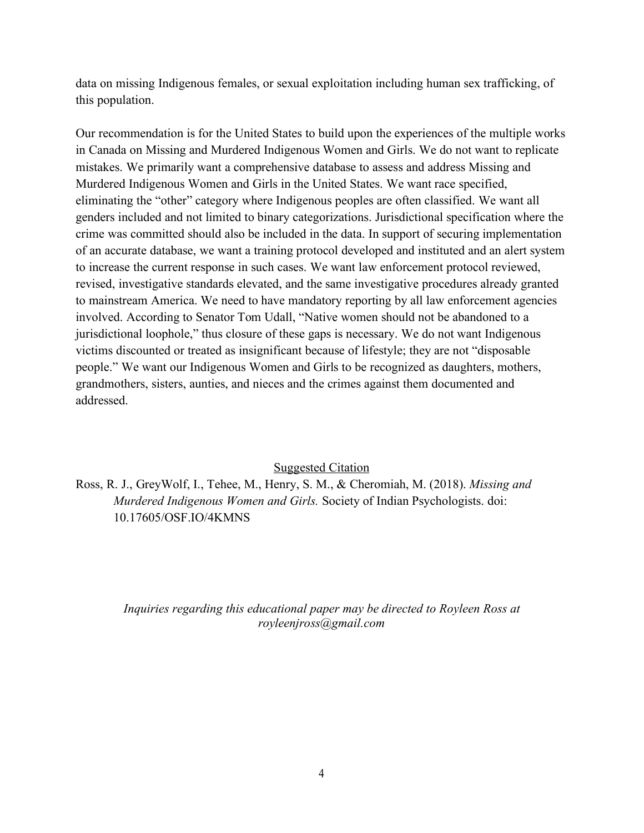data on missing Indigenous females, or sexual exploitation including human sex trafficking, of this population.

Our recommendation is for the United States to build upon the experiences of the multiple works in Canada on Missing and Murdered Indigenous Women and Girls. We do not want to replicate mistakes. We primarily want a comprehensive database to assess and address Missing and Murdered Indigenous Women and Girls in the United States. We want race specified, eliminating the "other" category where Indigenous peoples are often classified. We want all genders included and not limited to binary categorizations. Jurisdictional specification where the crime was committed should also be included in the data. In support of securing implementation of an accurate database, we want a training protocol developed and instituted and an alert system to increase the current response in such cases. We want law enforcement protocol reviewed, revised, investigative standards elevated, and the same investigative procedures already granted to mainstream America. We need to have mandatory reporting by all law enforcement agencies involved. According to Senator Tom Udall, "Native women should not be abandoned to a jurisdictional loophole," thus closure of these gaps is necessary. We do not want Indigenous victims discounted or treated as insignificant because of lifestyle; they are not "disposable people." We want our Indigenous Women and Girls to be recognized as daughters, mothers, grandmothers, sisters, aunties, and nieces and the crimes against them documented and addressed.

## Suggested Citation

Ross, R. J., GreyWolf, I., Tehee, M., Henry, S. M., & Cheromiah, M. (2018). *Missing and Murdered Indigenous Women and Girls.* Society of Indian Psychologists. doi: 10.17605/OSF.IO/4KMNS

> *Inquiries regarding this educational paper may be directed to Royleen Ross at royleenjross@gmail.com*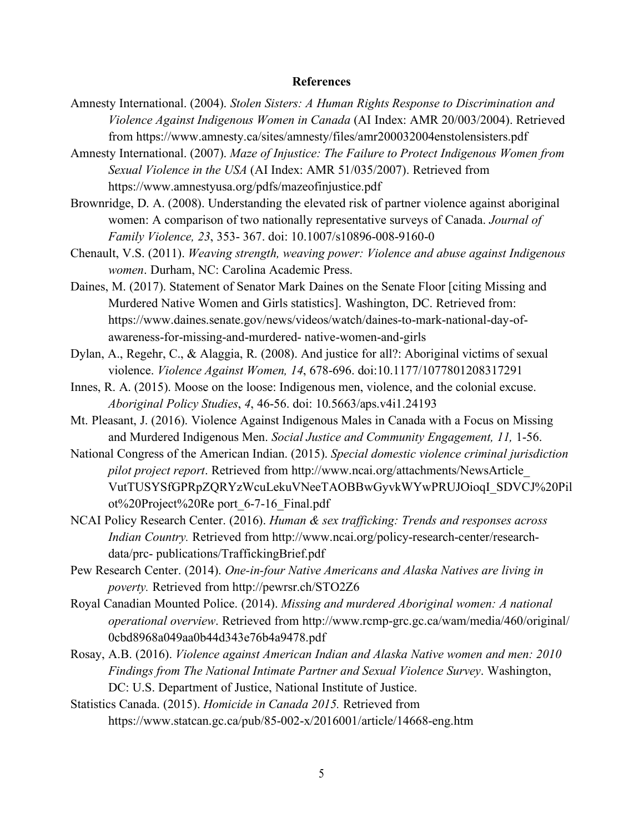## **References**

- Amnesty International. (2004). *Stolen Sisters: A Human Rights Response to Discrimination and Violence Against Indigenous Women in Canada* (AI Index: AMR 20/003/2004). Retrieved from https://www.amnesty.ca/sites/amnesty/files/amr200032004enstolensisters.pdf
- Amnesty International. (2007). *Maze of Injustice: The Failure to Protect Indigenous Women from Sexual Violence in the USA* (AI Index: AMR 51/035/2007). Retrieved from https://www.amnestyusa.org/pdfs/mazeofinjustice.pdf
- Brownridge, D. A. (2008). Understanding the elevated risk of partner violence against aboriginal women: A comparison of two nationally representative surveys of Canada. *Journal of Family Violence, 23*, 353- 367. doi: 10.1007/s10896-008-9160-0
- Chenault, V.S. (2011). *Weaving strength, weaving power: Violence and abuse against Indigenous women*. Durham, NC: Carolina Academic Press.
- Daines, M. (2017). Statement of Senator Mark Daines on the Senate Floor [citing Missing and Murdered Native Women and Girls statistics]. Washington, DC. Retrieved from: https://www.daines.senate.gov/news/videos/watch/daines-to-mark-national-day-ofawareness-for-missing-and-murdered- native-women-and-girls
- Dylan, A., Regehr, C., & Alaggia, R. (2008). And justice for all?: Aboriginal victims of sexual violence. *Violence Against Women, 14*, 678-696. doi:10.1177/1077801208317291
- Innes, R. A. (2015). Moose on the loose: Indigenous men, violence, and the colonial excuse. *Aboriginal Policy Studies*, *4*, 46-56. doi: 10.5663/aps.v4i1.24193
- Mt. Pleasant, J. (2016). Violence Against Indigenous Males in Canada with a Focus on Missing and Murdered Indigenous Men. *Social Justice and Community Engagement, 11,* 1-56.
- National Congress of the American Indian. (2015). *Special domestic violence criminal jurisdiction pilot project report*. Retrieved from http://www.ncai.org/attachments/NewsArticle\_ VutTUSYSfGPRpZQRYzWcuLekuVNeeTAOBBwGyvkWYwPRUJOioqI\_SDVCJ%20Pil ot%20Project%20Re port\_6-7-16\_Final.pdf
- NCAI Policy Research Center. (2016). *Human & sex trafficking: Trends and responses across Indian Country.* Retrieved from http://www.ncai.org/policy-research-center/researchdata/prc- publications/TraffickingBrief.pdf
- Pew Research Center. (2014). *One-in-four Native Americans and Alaska Natives are living in poverty.* Retrieved from http://pewrsr.ch/STO2Z6
- Royal Canadian Mounted Police. (2014). *Missing and murdered Aboriginal women: A national operational overview*. Retrieved from http://www.rcmp-grc.gc.ca/wam/media/460/original/ 0cbd8968a049aa0b44d343e76b4a9478.pdf
- Rosay, A.B. (2016). *Violence against American Indian and Alaska Native women and men: 2010 Findings from The National Intimate Partner and Sexual Violence Survey*. Washington, DC: U.S. Department of Justice, National Institute of Justice.
- Statistics Canada. (2015). *Homicide in Canada 2015.* Retrieved from https://www.statcan.gc.ca/pub/85-002-x/2016001/article/14668-eng.htm